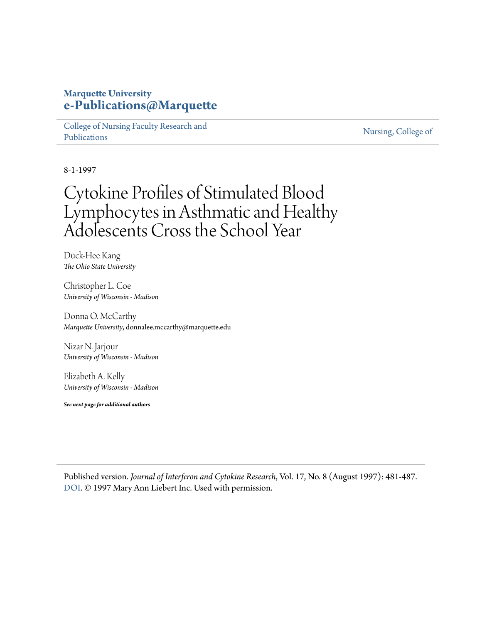## **Marquette University [e-Publications@Marquette](https://epublications.marquette.edu)**

[College of Nursing Faculty Research and](https://epublications.marquette.edu/nursing_fac) [Publications](https://epublications.marquette.edu/nursing_fac)

[Nursing, College of](https://epublications.marquette.edu/nursing)

8-1-1997

# Cytokine Profiles of Stimulated Blood Lymphocytes in Asthmatic and Healthy Adolescents Cross the School Year

Duck-Hee Kang *The Ohio State University*

Christopher L. Coe *University of Wisconsin - Madison*

Donna O. McCarthy *Marquette University*, donnalee.mccarthy@marquette.edu

Nizar N. Jarjour *University of Wisconsin - Madison*

Elizabeth A. Kelly *University of Wisconsin - Madison*

*See next page for additional authors*

Published version. *Journal of Interferon and Cytokine Research*, Vol. 17, No. 8 (August 1997): 481-487. [DOI](http://dx.doi.org/10.1089/jir.1997.17.481). © 1997 Mary Ann Liebert Inc. Used with permission.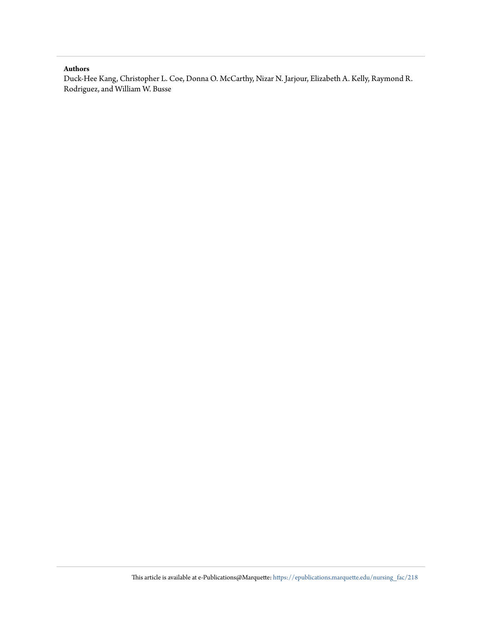## **Authors**

Duck-Hee Kang, Christopher L. Coe, Donna O. McCarthy, Nizar N. Jarjour, Elizabeth A. Kelly, Raymond R. Rodriguez, and William W. Busse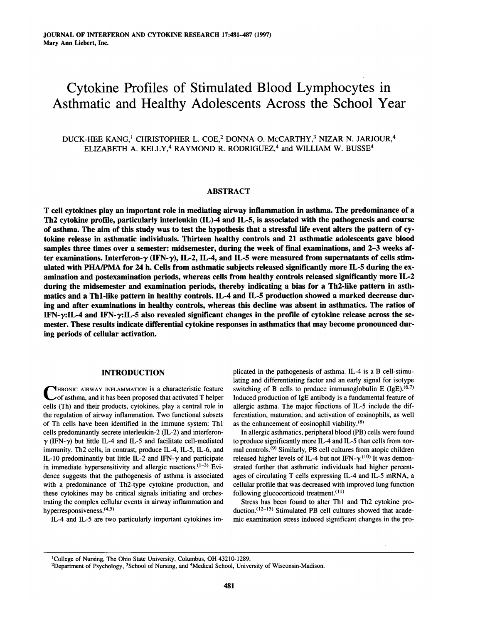## Cytokine Profiles of Stimulated Blood Lymphocytes in Asthmatic and Healthy Adolescents Across the School Year

## DUCK-HEE KANG,1 CHRISTOPHER L. COE,2 DONNA O. MCCARTHY,3 NIZAR N. JARJOUR,4 ELIZABETH A. KELLY,<sup>4</sup> RAYMOND R. RODRIGUEZ,<sup>4</sup> and WILLIAM W. BUSSE<sup>4</sup>

## ABSTRACT

cell cytokines play an important role in mediating airway inflammation in asthma. The predominance of <sup>a</sup> Th2 cytokine profile, particularly interleukin (IL)-4 and IL-5, is associated with the pathogenesis and course of asthma. The aim of this study was to test the hypothesis that a stressful life event alters the pattern of cytokine release in asthmatic individuals. Thirteen healthy controls and <sup>21</sup> asthmatic adolescents gave blood samples three times over a semester: midsemester, during the week of final examinations, and 2–3 weeks after examinations. Interferon- $\gamma$  (IFN- $\gamma$ ), IL-2, IL-4, and IL-5 were measured from supernatants of cells stimulated with PHA/PMA for 24 h. Cells from asthmatic subjects released significantly more IL-5 during the examination and postexamination periods, whereas cells from healthy controls released significantly more IL-2 during the midsemester and examination periods, thereby indicating a bias for a Th2-like pattern in asthmatics and a Th1-like pattern in healthy controls. IL-4 and IL-5 production showed a marked decrease during and after examinations in healthy controls, whereas this decline was absent in asthmatics. The ratios of IFN- $\gamma$ :IL-4 and IFN- $\gamma$ :IL-5 also revealed significant changes in the profile of cytokine release across the semester. These results indicate differential cytokine responses in asthmatics that may become pronounced dur ing periods of cellular activation.

## INTRODUCTION

CHRONIC AIRWAY INFLAMMATION is a characteristic feature<br>
of asthma, and it has been proposed that activated T helper cells (Th) and their products, cytokines, play <sup>a</sup> central role in the regulation of airway inflammation. Two functional subsets of Th cells have been identified in the immune system: Thl cells predominantly secrete interleukin-2 (IL-2) and interferon- $\gamma$  (IFN- $\gamma$ ) but little IL-4 and IL-5 and facilitate cell-mediated immunity. Th2 cells, in contrast, produce IL-4, IL-5, IL-6, and IL-10 predominantly but little IL-2 and IFN- $\gamma$  and participate in immediate hypersensitivity and allergic reactions. $(1-3)$  Evidence suggests that the pathogenesis of asthma is associated with <sup>a</sup> predominance of Th2-type cytokine production, and these cytokines may be critical signals initiating and orchestrating the complex cellular events in airway inflammation and hyperresponsiveness.<sup>(4,5)</sup>

IL-4 and IL-5 are two particularly important cytokines im-

plicated in the pathogenesis of asthma. IL-4 is a B cell-stimulating and differentiating factor and an early signal for isotype switching of B cells to produce immunoglobulin E (IgE).<sup>(6,7)</sup> Induced production of IgE antibody is <sup>a</sup> fundamental feature of allergic asthma. The major functions of IL-5 include the differentiation, maturation, and activation of eosinophils, as well as the enhancement of eosinophil viability. $(8)$ 

In allergic asthmatics, peripheral blood (PB) cells were found to produce significantly more IL-4 and IL-5 than cells from normal controls.<9) Similarly, PB cell cultures from atopic children released higher levels of IL-4 but not IFN- $\gamma$ .<sup>(10)</sup> It was demonstrated further that asthmatic individuals had higher percentages of circulating T cells expressing IL-4 and IL-5 mRNA, a cellular profile that was decreased with improved lung function following glucocorticoid treatment. $(11)$ 

Stress has been found to alter Thl and Th2 cytokine production.<sup>(12-15)</sup> Stimulated PB cell cultures showed that academic examination stress induced significant changes in the pro-

'College of Nursing, The Ohio State University, Columbus, OH 43210-1289.

<sup>2</sup>Department of Psychology, 3School of Nursing, and 4Medical School, University of Wisconsin-Madison.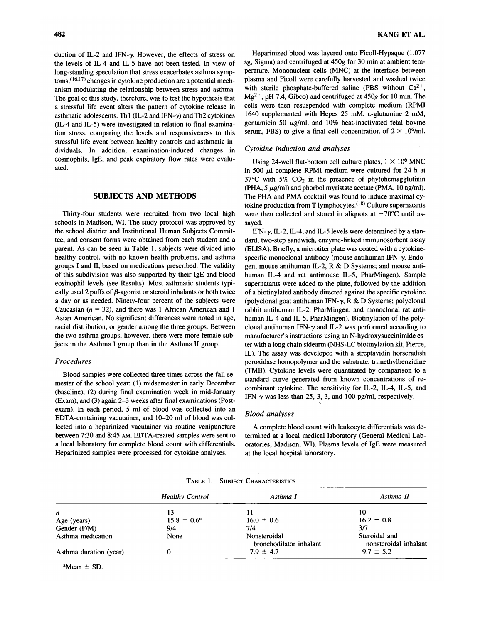duction of IL-2 and IFN- $\gamma$ . However, the effects of stress on the levels of IL-4 and IL-5 have not been tested. In view of long-standing speculation that stress exacerbates asthma symp $t$ oms,  $(16,17)$  changes in cytokine production are a potential mechanism modulating the relationship between stress and asthma. The goal of this study, therefore, was to test the hypothesis that <sup>a</sup> stressful life event alters the pattern of cytokine release in asthmatic adolescents. Th1 (IL-2 and IFN- $\gamma$ ) and Th2 cytokines  $(IL-4$  and  $IL-5)$  were investigated in relation to final examination stress, comparing the levels and responsiveness to this stressful life event between healthy controls and asthmatic in dividuals. In addition, examination-induced changes in eosinophils, IgE, and peak expiratory flow rates were evaluated.

## SUBJECTS AND METHODS

Thirty-four students were recruited from two local high schools in Madison, WI. The study protocol was approved by the school district and Institutional Human Subjects Committee, and consent forms were obtained from each student and <sup>a</sup> parent. As can be seen in Table 1, subjects were divided into healthy control, with no known health problems, and asthma groups I and II, based on medications prescribed. The validity of this subdivision was also supported by their IgE and blood eosinophil levels (see Results). Most asthmatic students typically used 2 puffs of  $\beta$ -agonist or steroid inhalants or both twice <sup>a</sup> day or as needed. Ninety-four percent of the subjects were Caucasian  $(n = 32)$ , and there was 1 African American and 1 Asian American. No significant differences were noted in age, racial distribution, or gender among the three groups. Between the two asthma groups, however, there were more female subjects in the Asthma <sup>I</sup> group than in the Asthma II group.

## Procedures

Blood samples were collected three times across the fall semester of the school year: (1) midsemester in early December (baseline), (2) during final examination week in mid-January (Exam), and (3) again 2-3 weeks after final examinations (Post exam). In each period, <sup>5</sup> ml of blood was collected into an EDTA-containing vacutainer, and 10-20 ml of blood was collected into <sup>a</sup> heparinized vacutainer via routine venipuncture between 7:30 and 8:45 am. EDTA-treated samples were sent to <sup>a</sup> local laboratory for complete blood count with differentials. Heparinized samples were processed for cytokine analyses.

Heparinized blood was layered onto Ficoll-Hypaque (1.077 sg, Sigma) and centrifuged at 450g for 30 min at ambient temperature. Mononuclear cells (MNC) at the interface between plasma and Ficoll were carefully harvested and washed twice with sterile phosphate-buffered saline (PBS without  $Ca^{2+}$ ,  $Mg^{2+}$ , pH 7.4, Gibco) and centrifuged at 450g for 10 min. The cells were then resuspended with complete medium (RPMI 1640 supplemented with Hepes <sup>25</sup> mM, L-glutamine <sup>2</sup> mM, gentamicin 50  $\mu$ g/ml, and 10% heat-inactivated fetal bovine serum, FBS) to give a final cell concentration of  $2 \times 10^6$ /ml.

#### Cytokine induction and analyses

Using 24-well flat-bottom cell culture plates,  $1 \times 10^6$  MNC in 500  $\mu$ l complete RPMI medium were cultured for 24 h at 37 $\degree$ C with 5% CO<sub>2</sub> in the presence of phytohemagglutinin (PHA,  $5 \mu g/ml$ ) and phorbol myristate acetate (PMA, 10 ng/ml). The PHA and PMA cocktail was found to induce maximal cytokine production from T lymphocytes. $(18)$  Culture supernatants were then collected and stored in aliquots at  $-70^{\circ}$ C until assayed.

IFN- $\gamma$ , IL-2, IL-4, and IL-5 levels were determined by a standard, two-step sandwich, enzyme-linked immunosorbent assay (ELISA). Briefly, <sup>a</sup> microtiter plate was coated with <sup>a</sup> cytokinespecific monoclonal antibody (mouse antihuman IFN- $\gamma$ , Endogen; mouse antihuman IL-2, R&D Systems; and mouse antihuman IL-4 and rat antimouse IL-5, PharMingen). Sample supernatants were added to the plate, followed by the addition of <sup>a</sup> biotinylated antibody directed against the specific cytokine (polyclonal goat antihuman IFN- $\gamma$ , R & D Systems; polyclonal rabbit antihuman IL-2, PharMingen; and monoclonal rat antihuman IL-4 and IL-5, PharMingen). Biotinylation of the polyclonal antihuman IFN- $\gamma$  and IL-2 was performed according to manufacturer's instructions using an N-hydroxysuccinimide ester with <sup>a</sup> long chain sidearm (NHS-LC biotinylation kit, Pierce, IL). The assay was developed with <sup>a</sup> streptavidin horseradish peroxidase homopolymer and the substrate, trimethylbenzidine (TMB). Cytokine levels were quantitated by comparison to <sup>a</sup> standard curve generated from known concentrations of recombinant cytokine. The sensitivity for IL-2, IL-4, IL-5, and IFN- $\gamma$  was less than 25, 3, 3, and 100 pg/ml, respectively.

## Blood analyses

A complete blood count with leukocyte differentials was determined at a local medical laboratory (General Medical Laboratories, Madison, WI). Plasma levels of IgE were measured at the local hospital laboratory.

|  | TABLE 1. SUBJECT CHARACTERISTICS |
|--|----------------------------------|
|--|----------------------------------|

|                        | <b>Healthy Control</b> | Asthma I                                | Asthma II                              |
|------------------------|------------------------|-----------------------------------------|----------------------------------------|
| n                      |                        |                                         | 10                                     |
| Age (years)            | $15.8 \pm 0.6^a$       | $16.0 \pm 0.6$                          | $16.2 \pm 0.8$                         |
| Gender (F/M)           | 9/4                    | 7/4                                     | 3/7                                    |
| Asthma medication      | None                   | Nonsteroidal<br>bronchodilator inhalant | Steroidal and<br>nonsteroidal inhalant |
| Asthma duration (year) |                        | $7.9 \pm 4.7$                           | $9.7 \pm 5.2$                          |

 $a$ Mean  $\pm$  SD.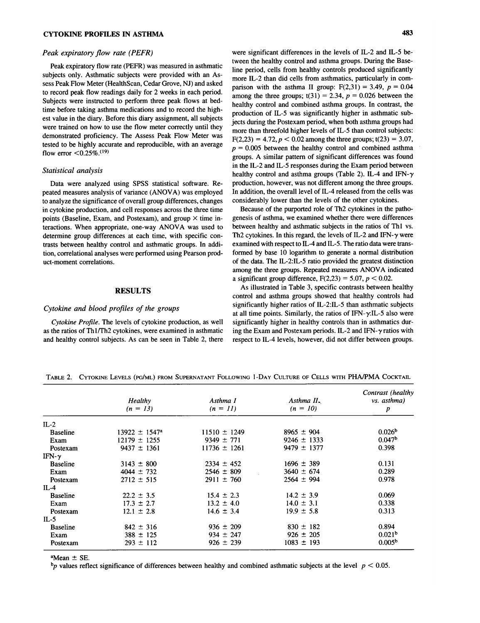## CYTOKINE PROFILES IN ASTHMA 483

### Peak expiratory flow rate (PEFR)

Peak expiratory flow rate (PEFR) was measured in asthmatic subjects only. Asthmatic subjects were provided with an Assess Peak Flow Meter (HealthScan, Cedar Grove, NJ) and asked to record peak flow readings daily for <sup>2</sup> weeks in each period. Subjects were instructed to perform three peak flows at bedtime before taking asthma medications and to record the highest value in the diary. Before this diary assignment, all subjects were trained on how to use the flow meter correctly until they demonstrated proficiency. The Assess Peak Flow Meter was tested to be highly accurate and reproducible, with an average flow error  $< 0.25\%$ .<sup>(19)</sup>

## Statistical analysis

Data were analyzed using SPSS statistical software. Repeated measures analysis of variance (ANOVA) was employed to analyze the significance of overall group differences, changes in cytokine production, and cell responses across the three time points (Baseline, Exam, and Postexam), and group  $\times$  time interactions. When appropriate, one-way ANOVA was used to determine group differences at each time, with specific contrasts between healthy control and asthmatic groups. In addition, correlational analyses were performed using Pearson product-moment correlations.

## RESULTS

## Cytokine and blood profiles of the groups

Cytokine Profile. The levels of cytokine production, as well as the ratios of Thl/Th2 cytokines, were examined in asthmatic and healthy control subjects. As can be seen in Table 2, there were significant differences in the levels of IL-2 and IL-5 between the healthy control and asthma groups. During the Baseline period, cells from healthy controls produced significantly more IL-2 than did cells from asthmatics, particularly in comparison with the asthma II group:  $F(2,31) = 3.49$ ,  $p = 0.04$ among the three groups;  $t(31) = 2.34$ ,  $p = 0.026$  between the healthy control and combined asthma groups. In contrast, the production of IL-5 was significantly higher in asthmatic subjects during the Postexam period, when both asthma groups had more than threefold higher levels of IL-5 than control subjects:  $F(2,23) = 4.72, p < 0.02$  among the three groups; t(23) = 3.07, — groups. A similar pattern of significant differences was found  $p = 0.005$  between the healthy control and combined asthma in the IL-2 and IL-5 responses during the Exam period between healthy control and asthma groups (Table 2). IL-4 and IFN- $\gamma$ production, however, was not different among the three groups. In addition, the overall level of IL-4 released from the cells was considerably lower than the levels of the other cytokines.

Because of the purported role of Th2 cytokines in the pathogenesis of asthma, we examined whether there were differences between healthy and asthmatic subjects in the ratios of Thl vs. Th2 cytokines. In this regard, the levels of IL-2 and IFN- $\gamma$  were examined with respect to IL-4 and IL-5. The ratio data were transformed by base <sup>10</sup> logarithm to generate <sup>a</sup> normal distribution of the data. The IL-2:IL-5 ratio provided the greatest distinction among the three groups. Repeated measures ANOVA indicated a significant group difference,  $F(2,23) = 5.07$ ,  $p < 0.02$ .

As illustrated in Table 3, specific contrasts between healthy control and asthma groups showed that healthy controls had significantly higher ratios of IL-2:IL-5 than asthmatic subjects at all time points. Similarly, the ratios of IFN- $\gamma$ .IL-5 also were significantly higher in healthy controls than in asthmatics during the Exam and Postexam periods. IL-2 and IFN- $\gamma$  ratios with respect to IL-4 levels, however, did not differ between groups.

|                 |                          |                  |                 | Contrast (healthy  |
|-----------------|--------------------------|------------------|-----------------|--------------------|
|                 | <b>Healthy</b>           | Asthma I         | Asthma II.      | vs. asthma)        |
|                 | $(n = 13)$               | $(n = 11)$       | $(n = 10)$      | p                  |
| $IL-2$          |                          |                  |                 |                    |
| <b>Baseline</b> | $13922 \pm 1547^{\circ}$ | $11510 \pm 1249$ | $8965 \pm 904$  | 0.026 <sup>b</sup> |
| Exam            | $12179 \pm 1255$         | $9349 \pm 771$   | $9246 \pm 1333$ | 0.047 <sup>b</sup> |
| Postexam        | $9437 \pm 1361$          | $11736 \pm 1261$ | $9479 \pm 1377$ | 0.398              |
| IFN- $\gamma$   |                          |                  |                 |                    |
| <b>Baseline</b> | $3143 \pm 800$           | $2334 \pm 452$   | $1696 \pm 389$  | 0.131              |
| Exam            | $4044 \pm 732$           | $2546 \pm 809$   | $3640 \pm 674$  | 0.289              |
| Postexam        | $2712 \pm 515$           | $2911 \pm 760$   | $2564 \pm 994$  | 0.978              |
| $IL-4$          |                          |                  |                 |                    |
| <b>Baseline</b> | $22.2 \pm 3.5$           | $15.4 \pm 2.3$   | $14.2 \pm 3.9$  | 0.069              |
| Exam            | $17.3 \pm 2.7$           | $13.2 \pm 4.0$   | $14.0 \pm 3.1$  | 0.338              |
| Postexam        | $12.1 \pm 2.8$           | $14.6 \pm 3.4$   | $19.9 \pm 5.8$  | 0.313              |
| $IL-5$          |                          |                  |                 |                    |
| <b>Baseline</b> | $842 \pm 316$            | $936 \pm 209$    | $830 \pm 182$   | 0.894              |
| Exam            | $388 \pm 125$            | $934 \pm 247$    | $926 \pm 205$   | 0.021 <sup>b</sup> |
| Postexam        | $293 \pm 112$            | $926 \pm 239$    | $1083 \pm 193$  | 0.005 <sup>b</sup> |

Table 2. Cytokine Levels (pg/ml) from Supernatant Following 1-Day Culture of Cells with PHA/PMA Cocktail

 $^{\circ}$ Mean  $\pm$  SE.

bp values reflect significance of differences between healthy and combined asthmatic subjects at the level  $p < 0.05$ .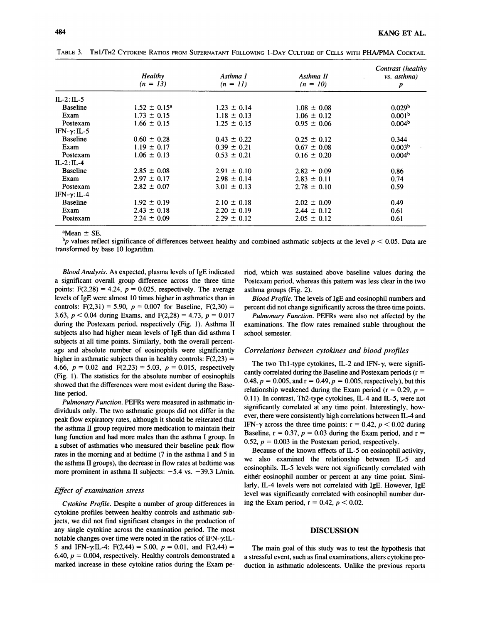|                      | <b>Healthy</b><br>$(n = 13)$ | Asthma I<br>$(n = 11)$ | Asthma II<br>$(n = 10)$ | Contrast (healthy<br><i>vs.</i> asthma) |
|----------------------|------------------------------|------------------------|-------------------------|-----------------------------------------|
|                      |                              |                        |                         | p                                       |
| $IL-2:IL-5$          |                              |                        |                         |                                         |
| <b>Baseline</b>      | $1.52 \pm 0.15^a$            | $1.23 \pm 0.14$        | $1.08 \pm 0.08$         | 0.029 <sup>b</sup>                      |
| Exam                 | $1.73 \pm 0.15$              | $1.18 \pm 0.13$        | $1.06 \pm 0.12$         | 0.001 <sup>b</sup>                      |
| Postexam             | $1.66 \pm 0.15$              | $1.25 \pm 0.15$        | $0.95 \pm 0.06$         | 0.004 <sup>b</sup>                      |
| IFN- $\gamma$ : IL-5 |                              |                        |                         |                                         |
| <b>Baseline</b>      | $0.60 \pm 0.28$              | $0.43 \pm 0.22$        | $0.25 \pm 0.12$         | 0.344                                   |
| Exam                 | $1.19 \pm 0.17$              | $0.39 \pm 0.21$        | $0.67 \pm 0.08$         | 0.003 <sup>b</sup>                      |
| Postexam             | $1.06 \pm 0.13$              | $0.53 \pm 0.21$        | $0.16 \pm 0.20$         | 0.004 <sup>b</sup>                      |
| $IL-2:IL-4$          |                              |                        |                         |                                         |
| <b>Baseline</b>      | $2.85 \pm 0.08$              | $2.91 \pm 0.10$        | $2.82 \pm 0.09$         | 0.86                                    |
| Exam                 | $2.97 \pm 0.17$              | $2.98 \pm 0.14$        | $2.83 \pm 0.11$         | 0.74                                    |
| Postexam             | $2.82 \pm 0.07$              | $3.01 \pm 0.13$        | $2.78 \pm 0.10$         | 0.59                                    |
| $IFN-\gamma$ : IL-4  |                              |                        |                         |                                         |
| <b>Baseline</b>      | $1.92 \pm 0.19$              | $2.10 \pm 0.18$        | $2.02 \pm 0.09$         | 0.49                                    |
| Exam                 | $2.43 \pm 0.18$              | $2.20 \pm 0.19$        | $2.44 \pm 0.12$         | 0.61                                    |
| Postexam             | $2.24 \pm 0.09$              | $2.29 \pm 0.12$        | $2.05 \pm 0.12$         | 0.61                                    |

Table 3. Th1/Th2 Cytokine Ratios from Supernatant Following 1-Day Culture of Cells with PHA/PMA Cocktail

 $^{\circ}$ Mean  $\pm$  SE.

 $^{\rm b}p$  values reflect significance of differences between healthy and combined asthmatic subjects at the level  $p < 0.05$ . Data are transformed by base <sup>10</sup> logarithm.

Blood Analysis. As expected, plasma levels of IgE indicated <sup>a</sup> significant overall group difference across the three time points:  $F(2,28) = 4.24$ ,  $p = 0.025$ , respectively. The average levels of IgE were almost <sup>10</sup> times higher in asthmatics than in controls:  $F(2,31) = 5.90$ ,  $p = 0.007$  for Baseline,  $F(2,30) =$ 3.63,  $p < 0.04$  during Exams, and F(2,28) = 4.73,  $p = 0.017$ during the Postexam period, respectively (Fig. 1). Asthma II subjects also had higher mean levels of IgE than did asthma I subjects at all time points. Similarly, both the overall percentage and absolute number of eosinophils were significantly higher in asthmatic subjects than in healthy controls:  $F(2,23) =$ 4.66,  $p = 0.02$  and  $F(2,23) = 5.03$ ,  $p = 0.015$ , respectively (Fig. 1). The statistics for the absolute number of eosinophils showed that the differences were most evident during the Baseline period.

Pulmonary Function. PEFRs were measured in asthmatic individuals only. The two asthmatic groups did not differ in the peak flow expiratory rates, although it should be reiterated that the asthma II group required more medication to maintain their lung function and had more males than the asthma I group. In <sup>a</sup> subset of asthmatics who measured their baseline peak flow rates in the morning and at bedtime (7 in the asthma I and <sup>5</sup> in the asthma II groups), the decrease in flow rates at bedtime was more prominent in asthma II subjects:  $-5.4$  vs.  $-39.3$  L/min.

## Effect of examination stress

Cytokine Profile. Despite <sup>a</sup> number of group differences in cytokine profiles between healthy controls and asthmatic subjects, we did not find significant changes in the production of any single cytokine across the examination period. The most notable changes over time were noted in the ratios of IFN- $\gamma$ :IL-5 and IFN- $\gamma$ IL-4: F(2,44) = 5.00,  $p = 0.01$ , and F(2,44) = 6.40,  $p = 0.004$ , respectively. Healthy controls demonstrated a marked increase in these cytokine ratios during the Exam period, which was sustained above baseline values during the Postexam period, whereas this pattern was less clear in the two asthma groups (Fig. 2).

Blood Profile. The levels of IgE and eosinophil numbers and percent did not change significantly across the three time points.

Pulmonary Function. PEFRs were also not affected by the examinations. The flow rates remained stable throughout the school semester.

#### Correlations between cytokines and blood profiles

The two Th1-type cytokines, IL-2 and IFN- $\gamma$ , were significantly correlated during the Baseline and Postexam periods  $(r =$  $0.48, p = 0.005,$  and  $r = 0.49, p = 0.005$ , respectively), but this relationship weakened during the Exam period ( $r = 0.29$ ,  $p =$ 0.11). In contrast, Th2-type cytokines, IL-4 and IL-5, were not significantly correlated at any time point. Interestingly, however, there were consistently high correlations between IL-4 and IFN- $\gamma$  across the three time points:  $r = 0.42$ ,  $p < 0.02$  during Baseline,  $r = 0.37$ ,  $p = 0.03$  during the Exam period, and  $r =$ 0.52,  $p = 0.003$  in the Postexam period, respectively.

Because of the known effects of IL-5 on eosinophil activity, we also examined the relationship between IL-5 and eosinophils. IL-5 levels were not significantly correlated with either eosinophil number or percent at any time point. Similarly, IL-4 levels were not correlated with IgE. However, IgE level was significantly correlated with eosinophil number during the Exam period,  $r = 0.42$ ,  $p < 0.02$ .

## DISCUSSION

The main goal of this study was to test the hypothesis that a stressful event, such as final examinations, alters cytokine production in asthmatic adolescents. Unlike the previous reports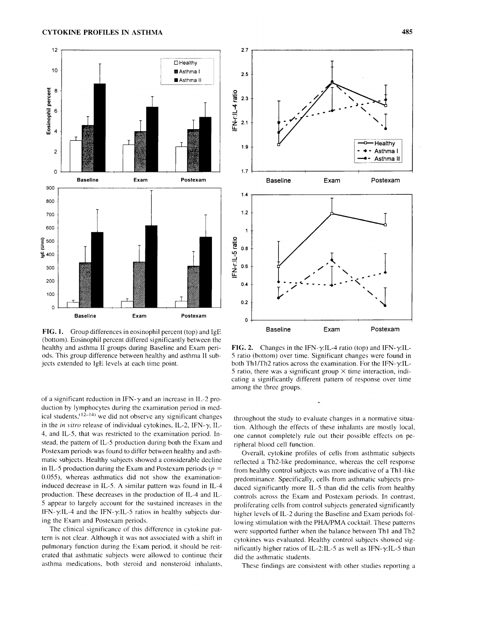

FIG. 1. Group differences in eosinophil percent (top) and IgE (bottom). Eosinophil percent differed significantly between the healthy and asthma II groups during Baseline and Exam periods. This group difference between healthy and asthma II subjects extended to IgE levels at each time point.

of a significant reduction in IFN- $\gamma$  and an increase in IL-2 production by lymphocytes during the examination period in medical students,  $(12-14)$  we did not observe any significant changes in the in vitro release of individual cytokines, IL-2, IFN- $\gamma$ , IL-4, and IL-5, that was restricted to the examination period. Instead, the pattern of IL-5 production during both the Exam and Postexam periods was found to differ between healthy and asthmatic subjects. Healthy subjects showed <sup>a</sup> considerable decline in IL-5 production during the Exam and Postexam periods ( $p =$ 0.055), whereas asthmatics did not show the examinationinduced decrease in IL-5. A similar pattern was found in IL-4 production. These decreases in the production of IL-4 and IL-<sup>5</sup> appear to largely account for the sustained increases in the IFN- $\gamma$ :IL-4 and the IFN- $\gamma$ :IL-5 ratios in healthy subjects during the Exam and Postexam periods.

The clinical significance of this difference in cytokine pattern is not clear. Although it was not associated with <sup>a</sup> shift in pulmonary function during the Exam period, it should be reiterated that asthmatic subjects were allowed to continue their asthma medications, both steroid and nonsteroid inhalants.



FIG. 2. Changes in the IFN- $\gamma$ :IL-4 ratio (top) and IFN- $\gamma$ :IL-<sup>5</sup> ratio (bottom) over time. Significant changes were found in both Th1/Th2 ratios across the examination. For the IFN- $\gamma$ IL-5 ratio, there was a significant group  $\times$  time interaction, indicating <sup>a</sup> significantly different pattern of response over time among the three groups.

throughout the study to evaluate changes in a normative situation. Although the effects of these inhalants are mostly local, one cannot completely rule out their possible effects on peripheral blood cell function.

Overall, cytokine profiles of cells from asthmatic subjects reflected <sup>a</sup> Th2-like predominance, whereas the cell response from healthy control subjects was more indicative of <sup>a</sup> Thl-like predominance. Specifically, cells from asthmatic subjects produced significantly more IL-5 than did the cells from healthy controls across the Exam and Postexam periods. In contrast, proliferating cells from control subjects generated significantly higher levels of IL-2 during the Baseline and Exam periods following stimulation with the PHA/PMA cocktail. These patterns were supported further when the balance between Thl and Th2 cytokines was evaluated. Healthy control subjects showed significantly higher ratios of IL-2:IL-5 as well as IFN- $\gamma$ :IL-5 than did the asthmatic students.

These findings are consistent with other studies reporting <sup>a</sup>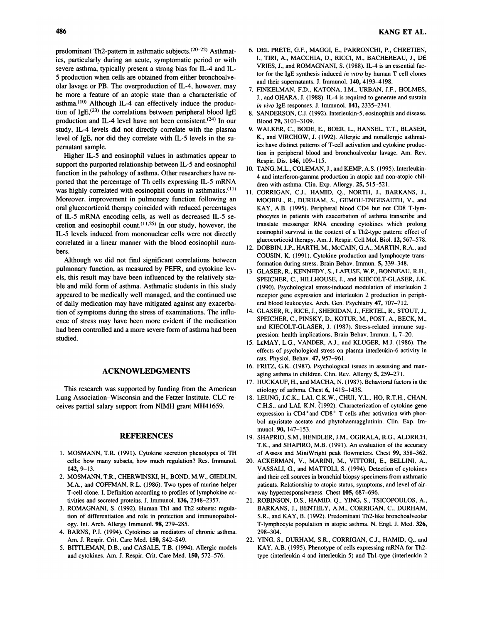predominant Th2-pattern in asthmatic subjects.<sup>(20-22)</sup> Asthmatics, particularly during an acute, symptomatic period or with severe asthma, typically present <sup>a</sup> strong bias for IL-4 and IL-5 production when cells are obtained from either bronchoalveolar lavage or PB. The overproduction of IL-4, however, may be more <sup>a</sup> feature of an atopic state than <sup>a</sup> characteristic of asthma. $(10)$  Although IL-4 can effectively induce the production of IgE,<sup>(23)</sup> the correlations between peripheral blood IgE production and IL-4 level have not been consistent.<sup> $(24)$ </sup> In our study, IL-4 levels did not directly correlate with the plasma level of IgE, nor did they correlate with IL-5 levels in the supernatant sample.

Higher IL-5 and eosinophil values in asthmatics appear to support the purported relationship between IL-5 and eosinophil function in the pathology of asthma. Other researchers have reported that the percentage of Th cells expressing IL-5 mRNA was highly correlated with eosinophil counts in asthmatics.<sup>(11)</sup> Moreover, improvement in pulmonary function following an oral glucocorticoid therapy coincided with reduced percentages of IL-5 mRNA encoding cells, as well as decreased IL-5 secretion and eosinophil count.  $(11,25)$  In our study, however, the IL-5 levels induced from mononuclear cells were not directly correlated in <sup>a</sup> linear manner with the blood eosinophil num bers.

Although we did not find significant correlations between pulmonary function, as measured by PEFR, and cytokine levels, this result may have been influenced by the relatively stable and mild form of asthma. Asthmatic students in this study appeared to be medically well managed, and the continued use of daily medication may have mitigated against any exacerbation of symptoms during the stress of examinations. The influence of stress may have been more evident if the medication had been controlled and <sup>a</sup> more severe form of asthma had been studied.

## ACKNOWLEDGMENTS

This research was supported by funding from the American Lung Association-Wisconsin and the Fetzer Institute. CLC receives partial salary support from NIMH grant MH41659.

### REFERENCES

- 1. MOSMANN, T.R. (1991). Cytokine secretion phenotypes of TH cells: how many subsets, how much regulation? Res. Immunol. 142, 9-13.
- MOSMANN, T.R., CHERWINSKI, H, BOND, M.W., GIEDLIN, M.A., and COFFMAN, R.L. (1986). Two types of murine helper T-cell clone. I. Definition according to profiles of lymphokine ac tivities and secreted proteins. J. Immunol. 136, 2348-2357.
- 3. ROMAGNANI, S. (1992). Human Th1 and Th2 subsets: regulation of differentiation and role in protection and immunopathology. Int. Arch. Allergy Immunol. 98, 279-285.
- BARNS, P.J. (1994). Cytokines as mediators of chronic asthma. Am. J. Respir. Crit. Care Med. 150, S42-S49.
- BITTLEMAN, D.B., and CASALE, T.B. (1994). Allergic models and cytokines. Am. J. Respir. Crit. Care Med. 150, 572-576.
- 6. DEL PRETE, CF., MAGGI, E., PARRONCHI, P., CHRETIEN, I., TIRI, A., MACCHIA, D., RICCI, M., BACHEREAU, J., DE VRIES, J., and ROMAGNANI, S. (1988). IL-4 is an essential factor for the IgE synthesis induced in vitro by human  $T$  cell clones and their supernatants. J. Immunol. 140, 4193-4198.
- 7. FINKELMAN, F.D., KATONA, I.M., URBAN, J.F., HOLMES, J., and OHARA, J. (1988). IL-4 is required to generate and sustain in vivo IgE responses. J. Immunol. 141, 2335-2341.
- 8. SANDERSON, C.J. (1992). Interleukin-5, eosinophils and disease. Blood 79, 3101-3109.
- 9. WALKER, C, BODE, E., BOER, L., HANSEL, T.T., BLASER, K., and VIRCHOW, J. (1992). Allergic and nonallergic asthmatics have distinct patterns of T-cell activation and cytokine production in peripheral blood and bronchoalveolar lavage. Am. Rev. Respir. Dis. 146, 109-115.
- 10. TANG, M.L., COLEMAN, J., and KEMP, A.S. (1995). Interleukin-4 and interferon-gamma production in atopic and non-atopic children with asthma. Clin. Exp. Allergy. 25, 515-521.
- 11. CORRIGAN, C.J., HAMID, Q., NORTH, J., BARKANS, J., MOOBEL, R., DURHAM, S., GEMOU-ENGESAETH, V., and KAY, A.B. (1995). Peripheral blood CD4 but not CD8 T-lymphocytes in patients with exacerbation of asthma transcribe and translate messenger RNA encoding cytokines which prolong eosinophil survival in the context of <sup>a</sup> Th2-type pattern: effect of glucocorticoid therapy. Am. J. Respir. Cell Mol. Biol. 12,567-578.
- 12. DOBBIN, J.P., HARTH, M., McCAIN, G.A., MARTIN, R.A., and COUSIN, K. (1991). Cytokine production and lymphocyte transformation during stress. Brain Behav. Immun. 5, 339-348.
- 13. GLASER, R., KENNEDY, S., LAFUSE, W.P., BONNEAU, R.H., SPEICHER, C, HILLHOUSE, J., and KIECOLT-GLASER, J.K. (1990). Psychological stress-induced modulation of interleukin <sup>2</sup> receptor gene expression and interleukin 2 production in peripheral blood leukocytes. Arch. Gen. Psychiatry 47, 707-712.
- 14. GLASER, R., RICE, J., SHERIDAN, J., FERTEL, R., STOUT, J., SPEICHER, C., PINSKY, D., KOTUR, M., POST, A., BECK, M., and KIECOLT-GLASER, J. (1987). Stress-related immune suppression: health implications. Brain Behav. Immun. 1, 7-20.
- 15. LeMAY, L.G., VANDER, A.J., and KLUGER, M.J. (1986). The effects of psychological stress on plasma interleukin-6 activity in rats. Physiol. Behav. 47, 957-961.
- 16. FRITZ, G.K. (1987). Psychological issues in assessing and man aging asthma in children. Clin. Rev. Allergy 5, 259-271.
- 17. HUCKAUF, H., and MACHA, N. (1987). Behavioral factors in the etiology of asthma. Chest 6, 141S-143S.
- 18. LEUNG, J.C.K., LAI, C.K.W., CHUI, Y.L., HO, R.T.H., CHAN, C.H.S., and LAI, K.N. (1992). Characterization of cytokine gene expression in  $CD4^+$  and  $CD8^+$  T cells after activation with phorbol myristate acetate and phytohaemagglutinin. Clin. Exp. Immunol. 90, 147-153.
- 19. SHAPRIO, S.M., HENDLER, J.M., OGIRALA, R.G., ALDRICH, T.K., and SHAPIRO, M.B. (1991). An evaluation of the accuracy of Assess and MiniWright peak flowmeters. Chest 99, 358-362.
- 20. ACKERMAN, V., MARINI, M., VITTORI, E., BELLINI, A., VASSALI, G., and MATTOLI, S. (1994). Detection of cytokines and their cell sources in bronchial biopsy specimens from asthmatic patients. Relationship to atopic status, symptoms, and level of airway hyperresponsiveness. Chest 105, 687-696.
- 21. ROBINSON, D.S., HAMID, Q., YING, S., TSICOPOULOS, A., BARKANS, J., BENTELY, A.M., CORRIGAN, C, DURHAM, S.R., and KAY, B. (1992). Predominant Th2-like bronchoalveolar T-lymphocyte population in atopic asthma. N. Engl. J. Med. 326, 298-304.
- 22. YING, S., DURHAM, S.R., CORRIGAN, C.J., HAMID, Q., and KAY, A.B. (1995). Phenotype of cells expressing mRNA for Th2 type (interleukin <sup>4</sup> and interleukin 5) and Thl-type (interleukin <sup>2</sup>